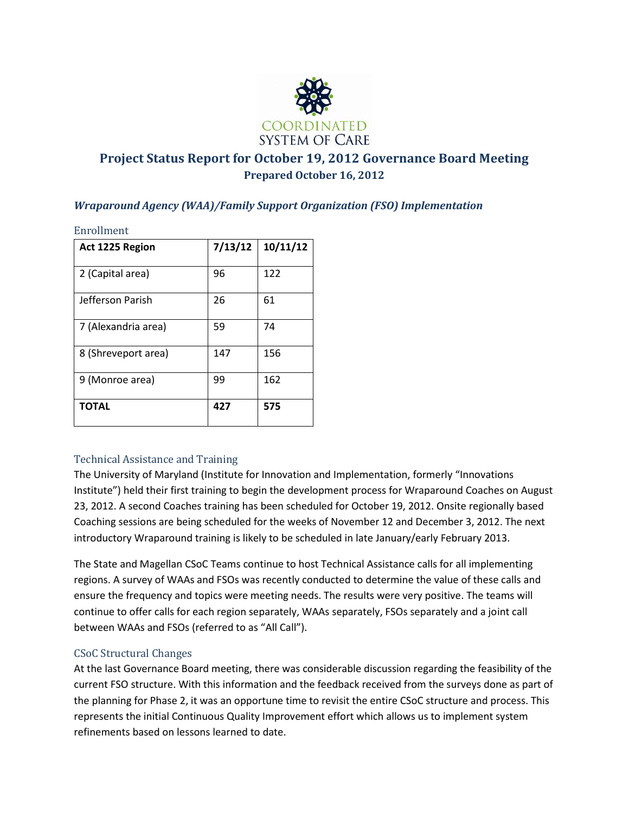

# **Project Status Report for October 19, 2012 Governance Board Meeting Prepared October 16, 2012**

## *Wraparound Agency (WAA)/Family Support Organization (FSO) Implementation*

Enrollment

| Act 1225 Region     | 7/13/12 | 10/11/12 |
|---------------------|---------|----------|
| 2 (Capital area)    | 96      | 122      |
| Jefferson Parish    | 26      | 61       |
| 7 (Alexandria area) | 59      | 74       |
| 8 (Shreveport area) | 147     | 156      |
| 9 (Monroe area)     | 99      | 162      |
| <b>TOTAL</b>        | 427     | 575      |

### Technical Assistance and Training

The University of Maryland (Institute for Innovation and Implementation, formerly "Innovations Institute") held their first training to begin the development process for Wraparound Coaches on August 23, 2012. A second Coaches training has been scheduled for October 19, 2012. Onsite regionally based Coaching sessions are being scheduled for the weeks of November 12 and December 3, 2012. The next introductory Wraparound training is likely to be scheduled in late January/early February 2013.

The State and Magellan CSoC Teams continue to host Technical Assistance calls for all implementing regions. A survey of WAAs and FSOs was recently conducted to determine the value of these calls and ensure the frequency and topics were meeting needs. The results were very positive. The teams will continue to offer calls for each region separately, WAAs separately, FSOs separately and a joint call between WAAs and FSOs (referred to as "All Call").

### CSoC Structural Changes

At the last Governance Board meeting, there was considerable discussion regarding the feasibility of the current FSO structure. With this information and the feedback received from the surveys done as part of the planning for Phase 2, it was an opportune time to revisit the entire CSoC structure and process. This represents the initial Continuous Quality Improvement effort which allows us to implement system refinements based on lessons learned to date.